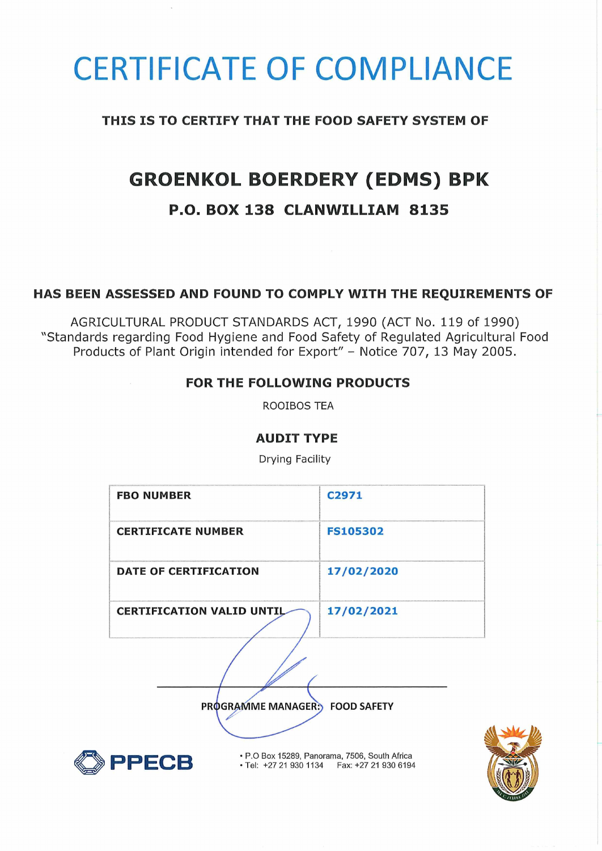# CERTIFICATE OF COMPLIANCE

## **THIS IS TO CERTIFY THAT THE FOOD SAFETY SYSTEM OF**

# **GROENKOL BOERDERY (EDMS) BPK**

# **P.O. BOX 138 CLANWILLIAM 8135**

### **HAS BEEN ASSESSED AND FOUND TO COMPLY WITH THE REQUIREMENTS OF**

AGRICULTURAL PRODUCT STANDARDS ACT, 1990 (ACT No. 119 of 1990) "Standards regarding Food Hygiene and Food Safety of Regulated Agricultural Food Products of Plant Origin intended for Export" - Notice 707, 13 May 2005.

### **FOR THE FOLLOWING PRODUCTS**

ROOIBOS TEA

#### **AUDIT TYPE**

Drying Facility